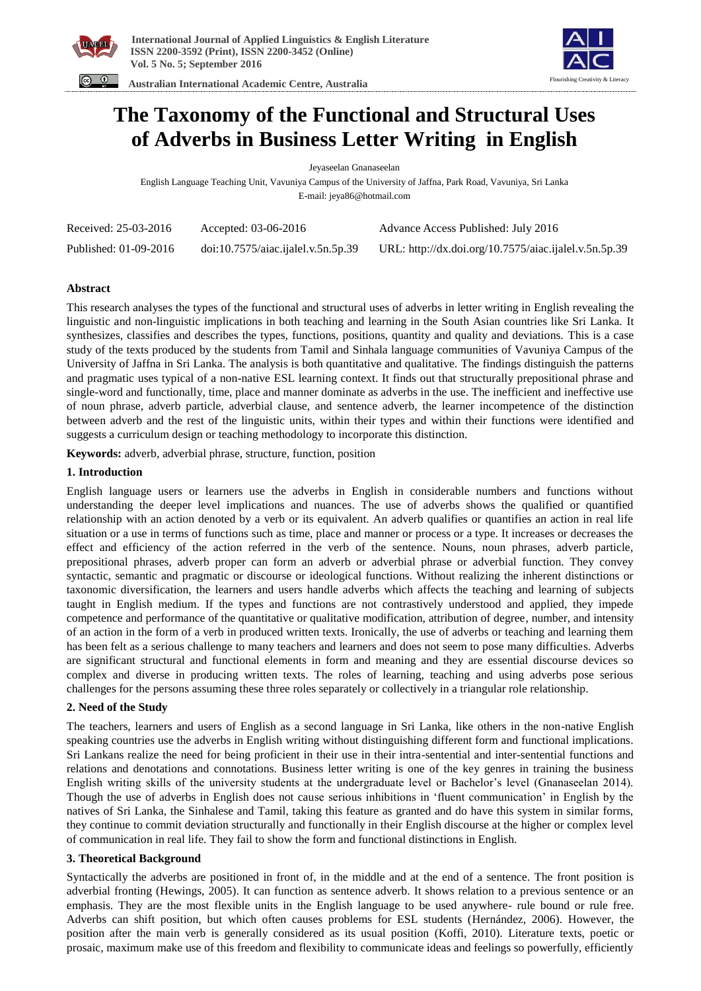



 **Australian International Academic Centre, Australia** 

# **The Taxonomy of the Functional and Structural Uses of Adverbs in Business Letter Writing in English**

Jeyaseelan Gnanaseelan

English Language Teaching Unit, Vavuniya Campus of the University of Jaffna, Park Road, Vavuniya, Sri Lanka E-mail: jeya86@hotmail.com

| Received: 25-03-2016  | Accepted: 03-06-2016               | Advance Access Published: July 2016                   |
|-----------------------|------------------------------------|-------------------------------------------------------|
| Published: 01-09-2016 | doi:10.7575/aiac.ijalel.v.5n.5p.39 | URL: http://dx.doi.org/10.7575/aiac.ijalel.v.5n.5p.39 |

# **Abstract**

This research analyses the types of the functional and structural uses of adverbs in letter writing in English revealing the linguistic and non-linguistic implications in both teaching and learning in the South Asian countries like Sri Lanka. It synthesizes, classifies and describes the types, functions, positions, quantity and quality and deviations. This is a case study of the texts produced by the students from Tamil and Sinhala language communities of Vavuniya Campus of the University of Jaffna in Sri Lanka. The analysis is both quantitative and qualitative. The findings distinguish the patterns and pragmatic uses typical of a non-native ESL learning context. It finds out that structurally prepositional phrase and single-word and functionally, time, place and manner dominate as adverbs in the use. The inefficient and ineffective use of noun phrase, adverb particle, adverbial clause, and sentence adverb, the learner incompetence of the distinction between adverb and the rest of the linguistic units, within their types and within their functions were identified and suggests a curriculum design or teaching methodology to incorporate this distinction.

**Keywords:** adverb, adverbial phrase, structure, function, position

## **1. Introduction**

English language users or learners use the adverbs in English in considerable numbers and functions without understanding the deeper level implications and nuances. The use of adverbs shows the qualified or quantified relationship with an action denoted by a verb or its equivalent. An adverb qualifies or quantifies an action in real life situation or a use in terms of functions such as time, place and manner or process or a type. It increases or decreases the effect and efficiency of the action referred in the verb of the sentence. Nouns, noun phrases, adverb particle, prepositional phrases, adverb proper can form an adverb or adverbial phrase or adverbial function. They convey syntactic, semantic and pragmatic or discourse or ideological functions. Without realizing the inherent distinctions or taxonomic diversification, the learners and users handle adverbs which affects the teaching and learning of subjects taught in English medium. If the types and functions are not contrastively understood and applied, they impede competence and performance of the quantitative or qualitative modification, attribution of degree, number, and intensity of an action in the form of a verb in produced written texts. Ironically, the use of adverbs or teaching and learning them has been felt as a serious challenge to many teachers and learners and does not seem to pose many difficulties. Adverbs are significant structural and functional elements in form and meaning and they are essential discourse devices so complex and diverse in producing written texts. The roles of learning, teaching and using adverbs pose serious challenges for the persons assuming these three roles separately or collectively in a triangular role relationship.

## **2. Need of the Study**

The teachers, learners and users of English as a second language in Sri Lanka, like others in the non-native English speaking countries use the adverbs in English writing without distinguishing different form and functional implications. Sri Lankans realize the need for being proficient in their use in their intra-sentential and inter-sentential functions and relations and denotations and connotations. Business letter writing is one of the key genres in training the business English writing skills of the university students at the undergraduate level or Bachelor's level (Gnanaseelan 2014). Though the use of adverbs in English does not cause serious inhibitions in 'fluent communication' in English by the natives of Sri Lanka, the Sinhalese and Tamil, taking this feature as granted and do have this system in similar forms, they continue to commit deviation structurally and functionally in their English discourse at the higher or complex level of communication in real life. They fail to show the form and functional distinctions in English.

## **3. Theoretical Background**

Syntactically the adverbs are positioned in front of, in the middle and at the end of a sentence. The front position is adverbial fronting (Hewings, 2005). It can function as sentence adverb. It shows relation to a previous sentence or an emphasis. They are the most flexible units in the English language to be used anywhere- rule bound or rule free. Adverbs can shift position, but which often causes problems for ESL students (Hernández, 2006). However, the position after the main verb is generally considered as its usual position (Koffi, 2010). Literature texts, poetic or prosaic, maximum make use of this freedom and flexibility to communicate ideas and feelings so powerfully, efficiently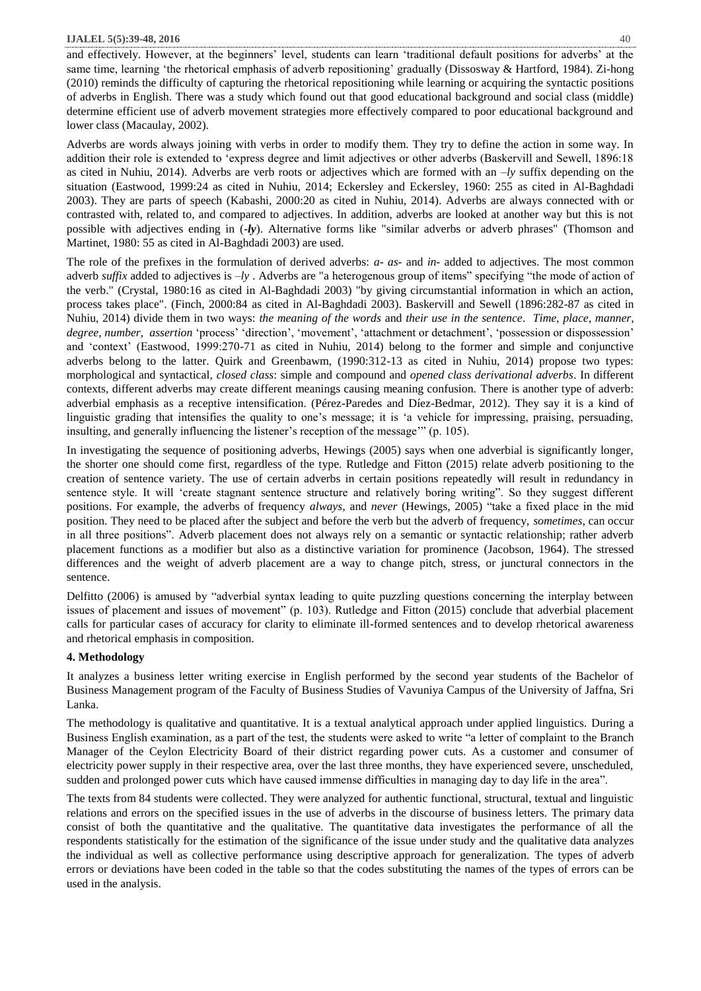and effectively. However, at the beginners' level, students can learn 'traditional default positions for adverbs' at the same time, learning 'the rhetorical emphasis of adverb repositioning' gradually (Dissosway & Hartford, 1984). Zi-hong (2010) reminds the difficulty of capturing the rhetorical repositioning while learning or acquiring the syntactic positions of adverbs in English. There was a study which found out that good educational background and social class (middle) determine efficient use of adverb movement strategies more effectively compared to poor educational background and lower class (Macaulay, 2002).

Adverbs are words always joining with verbs in order to modify them. They try to define the action in some way. In addition their role is extended to 'express degree and limit adjectives or other adverbs (Baskervill and Sewell, 1896:18 as cited in Nuhiu, 2014). Adverbs are verb roots or adjectives which are formed with an –*ly* suffix depending on the situation (Eastwood, 1999:24 as cited in Nuhiu, 2014; Eckersley and Eckersley, 1960: 255 as cited in Al-Baghdadi 2003). They are parts of speech (Kabashi, 2000:20 as cited in Nuhiu, 2014). Adverbs are always connected with or contrasted with, related to, and compared to adjectives. In addition, adverbs are looked at another way but this is not possible with adjectives ending in (-*ly*). Alternative forms like "similar adverbs or adverb phrases" (Thomson and Martinet, 1980: 55 as cited in Al-Baghdadi 2003) are used.

The role of the prefixes in the formulation of derived adverbs: *a- as-* and *in-* added to adjectives. The most common adverb *suffix* added to adjectives is –*ly* . Adverbs are "a heterogenous group of items" specifying "the mode of action of the verb." (Crystal, 1980:16 as cited in Al-Baghdadi 2003) "by giving circumstantial information in which an action, process takes place". (Finch, 2000:84 as cited in Al-Baghdadi 2003). Baskervill and Sewell (1896:282-87 as cited in Nuhiu, 2014) divide them in two ways: *the meaning of the words* and *their use in the sentence*. *Time*, *place*, *manner*, *degree, number, assertion* 'process' 'direction', 'movement', 'attachment or detachment', 'possession or dispossession' and 'context' (Eastwood, 1999:270-71 as cited in Nuhiu, 2014) belong to the former and simple and conjunctive adverbs belong to the latter. Quirk and Greenbawm, (1990:312-13 as cited in Nuhiu, 2014) propose two types: morphological and syntactical, *closed class*: simple and compound and *opened class derivational adverbs*. In different contexts, different adverbs may create different meanings causing meaning confusion. There is another type of adverb: adverbial emphasis as a receptive intensification. (Pérez-Paredes and Díez-Bedmar, 2012). They say it is a kind of linguistic grading that intensifies the quality to one's message; it is 'a vehicle for impressing, praising, persuading, insulting, and generally influencing the listener's reception of the message'" (p. 105).

In investigating the sequence of positioning adverbs, Hewings (2005) says when one adverbial is significantly longer, the shorter one should come first, regardless of the type. Rutledge and Fitton (2015) relate adverb positioning to the creation of sentence variety. The use of certain adverbs in certain positions repeatedly will result in redundancy in sentence style. It will 'create stagnant sentence structure and relatively boring writing". So they suggest different positions. For example, the adverbs of frequency *always,* and *never* (Hewings, 2005) "take a fixed place in the mid position. They need to be placed after the subject and before the verb but the adverb of frequency, *sometimes,* can occur in all three positions". Adverb placement does not always rely on a semantic or syntactic relationship; rather adverb placement functions as a modifier but also as a distinctive variation for prominence (Jacobson, 1964). The stressed differences and the weight of adverb placement are a way to change pitch, stress, or junctural connectors in the sentence.

Delfitto (2006) is amused by "adverbial syntax leading to quite puzzling questions concerning the interplay between issues of placement and issues of movement" (p. 103). Rutledge and Fitton (2015) conclude that adverbial placement calls for particular cases of accuracy for clarity to eliminate ill-formed sentences and to develop rhetorical awareness and rhetorical emphasis in composition.

## **4. Methodology**

It analyzes a business letter writing exercise in English performed by the second year students of the Bachelor of Business Management program of the Faculty of Business Studies of Vavuniya Campus of the University of Jaffna, Sri Lanka.

The methodology is qualitative and quantitative. It is a textual analytical approach under applied linguistics. During a Business English examination, as a part of the test, the students were asked to write "a letter of complaint to the Branch Manager of the Ceylon Electricity Board of their district regarding power cuts. As a customer and consumer of electricity power supply in their respective area, over the last three months, they have experienced severe, unscheduled, sudden and prolonged power cuts which have caused immense difficulties in managing day to day life in the area".

The texts from 84 students were collected. They were analyzed for authentic functional, structural, textual and linguistic relations and errors on the specified issues in the use of adverbs in the discourse of business letters. The primary data consist of both the quantitative and the qualitative. The quantitative data investigates the performance of all the respondents statistically for the estimation of the significance of the issue under study and the qualitative data analyzes the individual as well as collective performance using descriptive approach for generalization. The types of adverb errors or deviations have been coded in the table so that the codes substituting the names of the types of errors can be used in the analysis.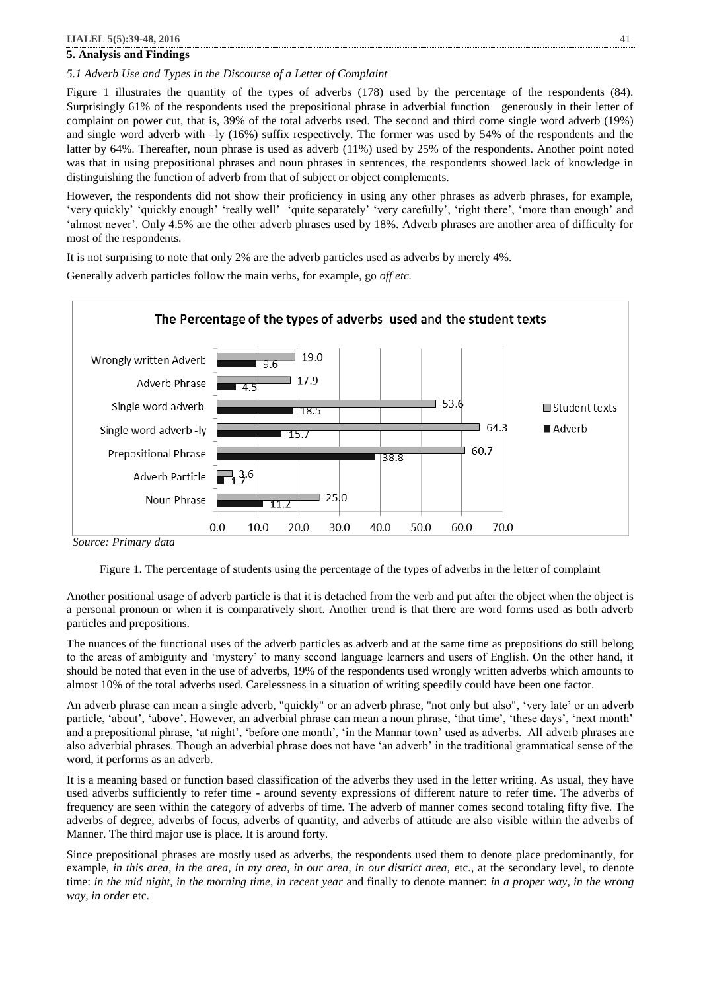# **5. Analysis and Findings**

## *5.1 Adverb Use and Types in the Discourse of a Letter of Complaint*

Figure 1 illustrates the quantity of the types of adverbs (178) used by the percentage of the respondents (84). Surprisingly 61% of the respondents used the prepositional phrase in adverbial function generously in their letter of complaint on power cut, that is, 39% of the total adverbs used. The second and third come single word adverb (19%) and single word adverb with –ly (16%) suffix respectively. The former was used by 54% of the respondents and the latter by 64%. Thereafter, noun phrase is used as adverb (11%) used by 25% of the respondents. Another point noted was that in using prepositional phrases and noun phrases in sentences, the respondents showed lack of knowledge in distinguishing the function of adverb from that of subject or object complements.

However, the respondents did not show their proficiency in using any other phrases as adverb phrases, for example, 'very quickly' 'quickly enough' 'really well' 'quite separately' 'very carefully', 'right there', 'more than enough' and 'almost never'. Only 4.5% are the other adverb phrases used by 18%. Adverb phrases are another area of difficulty for most of the respondents.

It is not surprising to note that only 2% are the adverb particles used as adverbs by merely 4%.

Generally adverb particles follow the main verbs, for example, go *off etc.* 



 *Source: Primary data* 



Another positional usage of adverb particle is that it is detached from the verb and put after the object when the object is a personal pronoun or when it is comparatively short. Another trend is that there are word forms used as both adverb particles and prepositions.

The nuances of the functional uses of the adverb particles as adverb and at the same time as prepositions do still belong to the areas of ambiguity and 'mystery' to many second language learners and users of English. On the other hand, it should be noted that even in the use of adverbs, 19% of the respondents used wrongly written adverbs which amounts to almost 10% of the total adverbs used. Carelessness in a situation of writing speedily could have been one factor.

An adverb phrase can mean a single adverb, "quickly" or an adverb phrase, "not only but also", 'very late' or an adverb particle, 'about', 'above'. However, an adverbial phrase can mean a noun phrase, 'that time', 'these days', 'next month' and a prepositional phrase, 'at night', 'before one month', 'in the Mannar town' used as adverbs. All adverb phrases are also adverbial phrases. Though an adverbial phrase does not have 'an adverb' in the traditional grammatical sense of the word, it performs as an adverb.

It is a meaning based or function based classification of the adverbs they used in the letter writing. As usual, they have used adverbs sufficiently to refer time - around seventy expressions of different nature to refer time. The adverbs of frequency are seen within the category of adverbs of time. The adverb of manner comes second totaling fifty five. The adverbs of degree, adverbs of focus, adverbs of quantity, and adverbs of attitude are also visible within the adverbs of Manner. The third major use is place. It is around forty.

Since prepositional phrases are mostly used as adverbs, the respondents used them to denote place predominantly, for example, *in this area, in the area, in my area, in our area, in our district area, etc., at the secondary level, to denote* time: *in the mid night, in the morning time, in recent year and finally to denote manner: in a proper way, in the wrong way, in order* etc.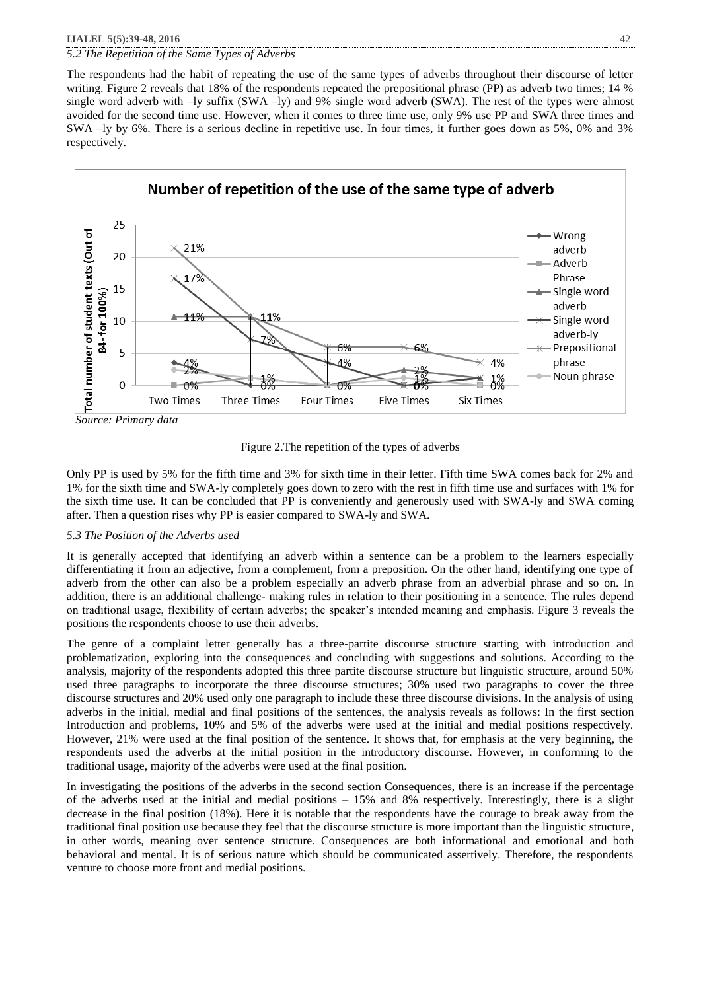#### *5.2 The Repetition of the Same Types of Adverbs*

The respondents had the habit of repeating the use of the same types of adverbs throughout their discourse of letter writing. Figure 2 reveals that 18% of the respondents repeated the prepositional phrase (PP) as adverb two times; 14 % single word adverb with  $-ly$  suffix (SWA  $-ly$ ) and 9% single word adverb (SWA). The rest of the types were almost avoided for the second time use. However, when it comes to three time use, only 9% use PP and SWA three times and SWA –ly by 6%. There is a serious decline in repetitive use. In four times, it further goes down as 5%, 0% and 3% respectively.



 *Source: Primary data* 

Figure 2.The repetition of the types of adverbs

Only PP is used by 5% for the fifth time and 3% for sixth time in their letter. Fifth time SWA comes back for 2% and 1% for the sixth time and SWA-ly completely goes down to zero with the rest in fifth time use and surfaces with 1% for the sixth time use. It can be concluded that PP is conveniently and generously used with SWA-ly and SWA coming after. Then a question rises why PP is easier compared to SWA-ly and SWA.

# *5.3 The Position of the Adverbs used*

It is generally accepted that identifying an adverb within a sentence can be a problem to the learners especially differentiating it from an adjective, from a complement, from a preposition. On the other hand, identifying one type of adverb from the other can also be a problem especially an adverb phrase from an adverbial phrase and so on. In addition, there is an additional challenge- making rules in relation to their positioning in a sentence. The rules depend on traditional usage, flexibility of certain adverbs; the speaker's intended meaning and emphasis. Figure 3 reveals the positions the respondents choose to use their adverbs.

The genre of a complaint letter generally has a three-partite discourse structure starting with introduction and problematization, exploring into the consequences and concluding with suggestions and solutions. According to the analysis, majority of the respondents adopted this three partite discourse structure but linguistic structure, around 50% used three paragraphs to incorporate the three discourse structures; 30% used two paragraphs to cover the three discourse structures and 20% used only one paragraph to include these three discourse divisions. In the analysis of using adverbs in the initial, medial and final positions of the sentences, the analysis reveals as follows: In the first section Introduction and problems, 10% and 5% of the adverbs were used at the initial and medial positions respectively. However, 21% were used at the final position of the sentence. It shows that, for emphasis at the very beginning, the respondents used the adverbs at the initial position in the introductory discourse. However, in conforming to the traditional usage, majority of the adverbs were used at the final position.

In investigating the positions of the adverbs in the second section Consequences, there is an increase if the percentage of the adverbs used at the initial and medial positions – 15% and 8% respectively. Interestingly, there is a slight decrease in the final position (18%). Here it is notable that the respondents have the courage to break away from the traditional final position use because they feel that the discourse structure is more important than the linguistic structure, in other words, meaning over sentence structure. Consequences are both informational and emotional and both behavioral and mental. It is of serious nature which should be communicated assertively. Therefore, the respondents venture to choose more front and medial positions.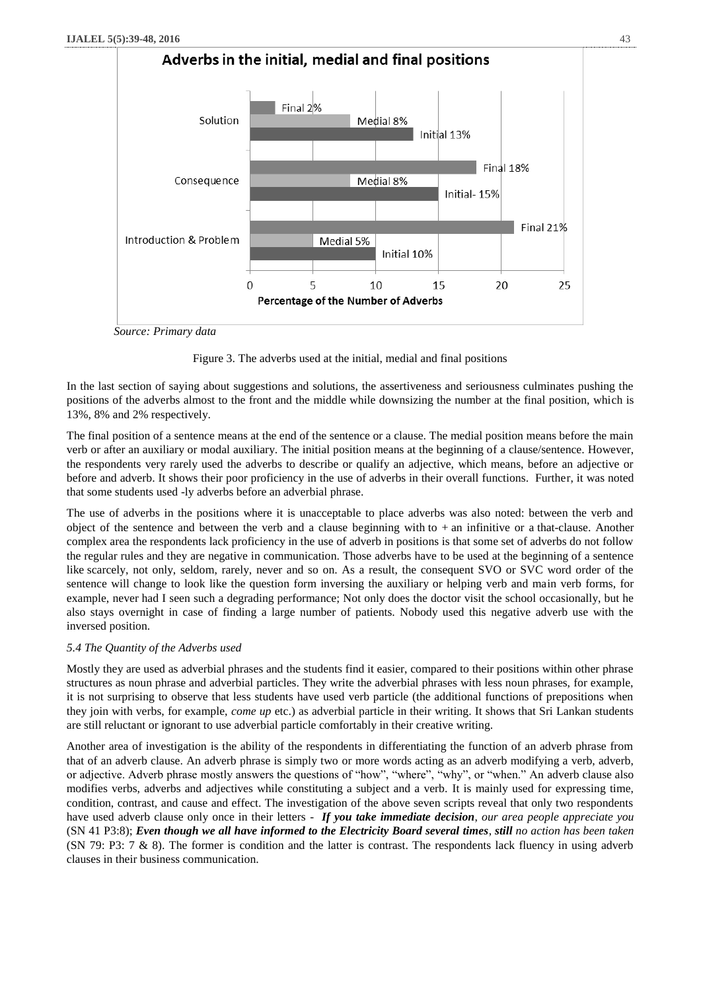



In the last section of saying about suggestions and solutions, the assertiveness and seriousness culminates pushing the positions of the adverbs almost to the front and the middle while downsizing the number at the final position, which is 13%, 8% and 2% respectively.

The final position of a sentence means at the end of the sentence or a clause. The medial position means before the main verb or after an auxiliary or modal auxiliary. The initial position means at the beginning of a clause/sentence. However, the respondents very rarely used the adverbs to describe or qualify an adjective, which means, before an adjective or before and adverb. It shows their poor proficiency in the use of adverbs in their overall functions. Further, it was noted that some students used -ly adverbs before an adverbial phrase.

The use of adverbs in the positions where it is unacceptable to place adverbs was also noted: between the verb and object of the sentence and between the verb and a clause beginning with to  $+$  an infinitive or a that-clause. Another complex area the respondents lack proficiency in the use of adverb in positions is that some set of adverbs do not follow the regular rules and they are negative in communication. Those adverbs have to be used at the beginning of a sentence like scarcely, not only, seldom, rarely, never and so on. As a result, the consequent SVO or SVC word order of the sentence will change to look like the question form inversing the auxiliary or helping verb and main verb forms, for example, never had I seen such a degrading performance; Not only does the doctor visit the school occasionally, but he also stays overnight in case of finding a large number of patients. Nobody used this negative adverb use with the inversed position.

## *5.4 The Quantity of the Adverbs used*

Mostly they are used as adverbial phrases and the students find it easier, compared to their positions within other phrase structures as noun phrase and adverbial particles. They write the adverbial phrases with less noun phrases, for example, it is not surprising to observe that less students have used verb particle (the additional functions of prepositions when they join with verbs, for example, *come up* etc.) as adverbial particle in their writing. It shows that Sri Lankan students are still reluctant or ignorant to use adverbial particle comfortably in their creative writing.

Another area of investigation is the ability of the respondents in differentiating the function of an adverb phrase from that of an adverb clause. An adverb phrase is simply two or more words acting as an adverb modifying a verb, adverb, or adjective. Adverb phrase mostly answers the questions of "how", "where", "why", or "when." An adverb clause also modifies verbs, adverbs and adjectives while constituting a subject and a verb. It is mainly used for expressing time, condition, contrast, and cause and effect. The investigation of the above seven scripts reveal that only two respondents have used adverb clause only once in their letters - *If you take immediate decision*, *our area people appreciate you* (SN 41 P3:8); *Even though we all have informed to the Electricity Board several times*, *still no action has been taken* (SN 79: P3: 7 & 8). The former is condition and the latter is contrast. The respondents lack fluency in using adverb clauses in their business communication.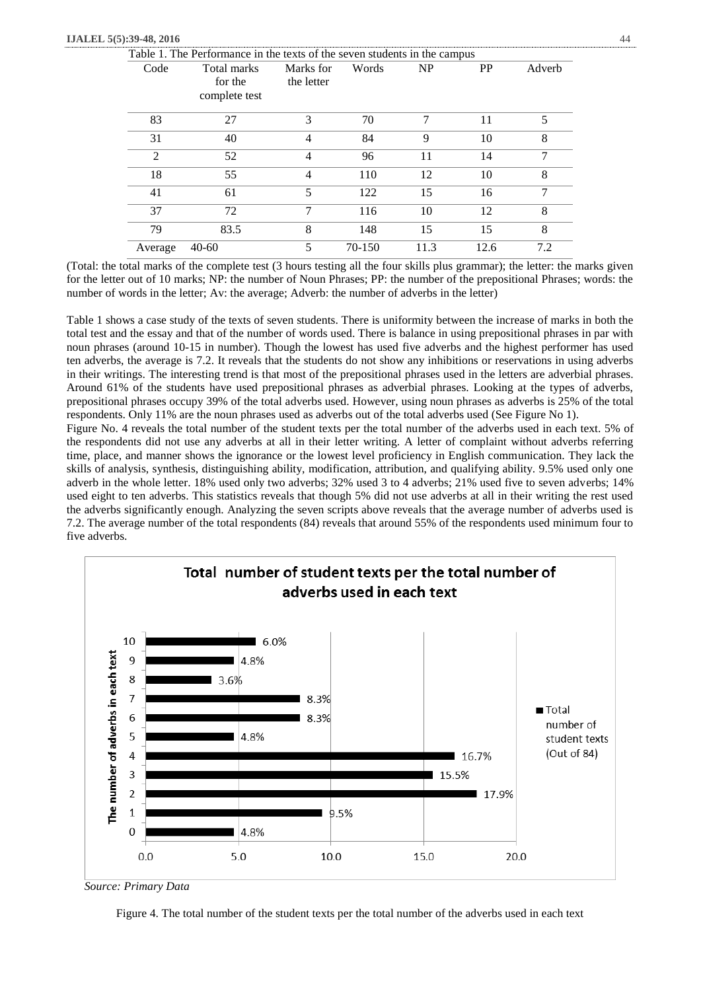#### **IJALEL 5(5):39-48, 2016** 44

| Table 1. The Performance in the texts of the seven students in the campus |               |            |        |      |           |        |
|---------------------------------------------------------------------------|---------------|------------|--------|------|-----------|--------|
| Code                                                                      | Total marks   | Marks for  | Words  | NP   | <b>PP</b> | Adverb |
|                                                                           | for the       | the letter |        |      |           |        |
|                                                                           | complete test |            |        |      |           |        |
| 83                                                                        | 27            | 3          | 70     | 7    | 11        | 5      |
| 31                                                                        | 40            | 4          | 84     | 9    | 10        | 8      |
| $\mathfrak{D}$                                                            | 52            | 4          | 96     | 11   | 14        | 7      |
| 18                                                                        | 55            | 4          | 110    | 12   | 10        | 8      |
| 41                                                                        | 61            | 5          | 122    | 15   | 16        | 7      |
| 37                                                                        | 72            | 7          | 116    | 10   | 12        | 8      |
| 79                                                                        | 83.5          | 8          | 148    | 15   | 15        | 8      |
| Average                                                                   | $40 - 60$     | 5          | 70-150 | 11.3 | 12.6      | 7.2    |

(Total: the total marks of the complete test (3 hours testing all the four skills plus grammar); the letter: the marks given for the letter out of 10 marks; NP: the number of Noun Phrases; PP: the number of the prepositional Phrases; words: the number of words in the letter; Av: the average; Adverb: the number of adverbs in the letter)

Table 1 shows a case study of the texts of seven students. There is uniformity between the increase of marks in both the total test and the essay and that of the number of words used. There is balance in using prepositional phrases in par with noun phrases (around 10-15 in number). Though the lowest has used five adverbs and the highest performer has used ten adverbs, the average is 7.2. It reveals that the students do not show any inhibitions or reservations in using adverbs in their writings. The interesting trend is that most of the prepositional phrases used in the letters are adverbial phrases. Around 61% of the students have used prepositional phrases as adverbial phrases. Looking at the types of adverbs, prepositional phrases occupy 39% of the total adverbs used. However, using noun phrases as adverbs is 25% of the total respondents. Only 11% are the noun phrases used as adverbs out of the total adverbs used (See Figure No 1).

Figure No. 4 reveals the total number of the student texts per the total number of the adverbs used in each text. 5% of the respondents did not use any adverbs at all in their letter writing. A letter of complaint without adverbs referring time, place, and manner shows the ignorance or the lowest level proficiency in English communication. They lack the skills of analysis, synthesis, distinguishing ability, modification, attribution, and qualifying ability. 9.5% used only one adverb in the whole letter. 18% used only two adverbs; 32% used 3 to 4 adverbs; 21% used five to seven adverbs; 14% used eight to ten adverbs. This statistics reveals that though 5% did not use adverbs at all in their writing the rest used the adverbs significantly enough. Analyzing the seven scripts above reveals that the average number of adverbs used is 7.2. The average number of the total respondents (84) reveals that around 55% of the respondents used minimum four to five adverbs.



 *Source: Primary Data*

Figure 4. The total number of the student texts per the total number of the adverbs used in each text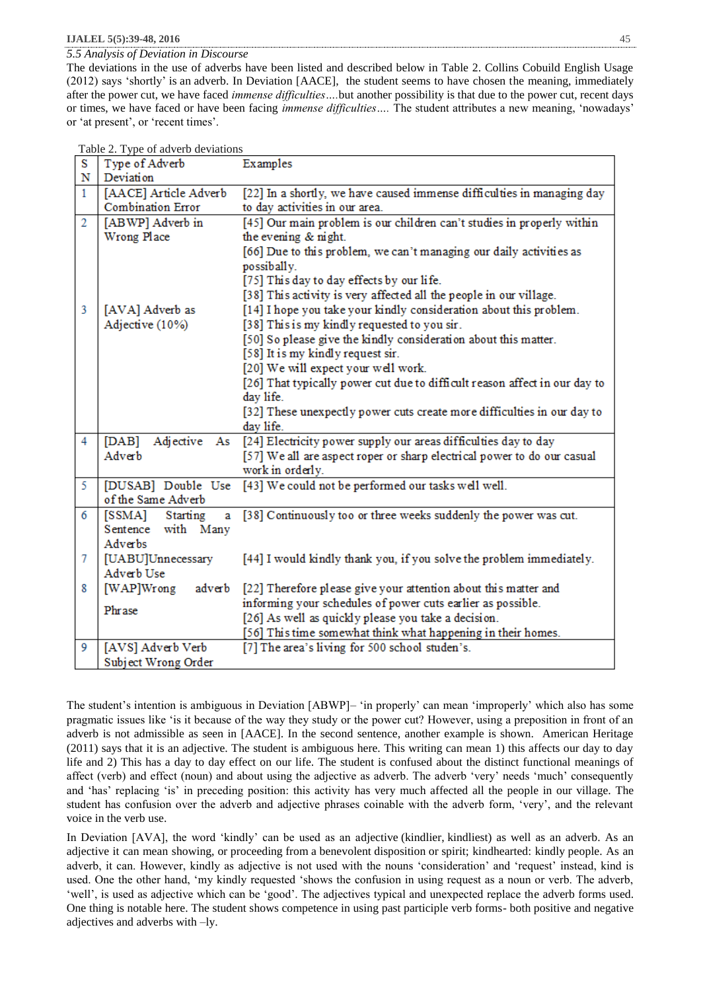#### *5.5 Analysis of Deviation in Discourse*

The deviations in the use of adverbs have been listed and described below in Table 2. Collins Cobuild English Usage (2012) says 'shortly' is an adverb. In Deviation [AACE], the student seems to have chosen the meaning, immediately after the power cut, we have faced *immense difficulties….*but another possibility is that due to the power cut, recent days or times, we have faced or have been facing *immense difficulties….* The student attributes a new meaning, 'nowadays' or 'at present', or 'recent times'.

| s              | Type of Adverb                     | Examples                                                                   |
|----------------|------------------------------------|----------------------------------------------------------------------------|
| N              | Deviation                          |                                                                            |
| $\mathbf{1}$   | [AACE] Article Adverb              | [22] In a shortly, we have caused immense difficulties in managing day     |
|                | Combination Error                  | to day activities in our area.                                             |
| 2              | [ABWP] Adverb in                   | [45] Our main problem is our children can't studies in properly within     |
|                | Wrong Place                        | the evening & night.                                                       |
|                |                                    | [66] Due to this problem, we can't managing our daily activities as        |
|                |                                    | possibally.                                                                |
|                |                                    | [75] This day to day effects by our life.                                  |
|                |                                    | [38] This activity is very affected all the people in our village.         |
| 3              | [AVA] Adverb as                    | [14] I hope you take your kindly consideration about this problem.         |
|                | Adjective (10%)                    | [38] This is my kindly requested to you sir.                               |
|                |                                    | [50] So please give the kindly consideration about this matter.            |
|                |                                    | [58] It is my kindly request sir.                                          |
|                |                                    | [20] We will expect your well work.                                        |
|                |                                    | [26] That typically power cut due to difficult reason affect in our day to |
|                |                                    | day life.                                                                  |
|                |                                    | [32] These unexpectly power cuts create more difficulties in our day to    |
|                |                                    | day life.                                                                  |
| $\overline{4}$ | [DAB]<br>Adjective As              | [24] Electricity power supply our areas difficulties day to day            |
|                | Adverb                             | [57] We all are aspect roper or sharp electrical power to do our casual    |
|                |                                    | work in orderly.                                                           |
| 5              | [DUSAB] Double Use                 | [43] We could not be performed our tasks well well.                        |
|                | of the Same Adverb                 |                                                                            |
| 6              | [SSMA]<br>Starting<br>$\mathbf{a}$ | [38] Continuously too or three weeks suddenly the power was cut.           |
|                | with Many<br>Sentence              |                                                                            |
|                | Adverbs                            |                                                                            |
| 7              | [UABU]Unnecessary                  | [44] I would kindly thank you, if you solve the problem immediately.       |
|                | Adverb Use                         |                                                                            |
| 8              | [WAP]Wrong<br>adverb               | [22] Therefore please give your attention about this matter and            |
|                | Phrase                             | informing your schedules of power cuts earlier as possible.                |
|                |                                    | [26] As well as quickly please you take a decision.                        |
|                |                                    | [56] This time somewhat think what happening in their homes.               |
| 9              | [AVS] Adverb Verb                  | [7] The area's living for 500 school studen's.                             |
|                | Subject Wrong Order                |                                                                            |

The student's intention is ambiguous in Deviation [ABWP]– 'in properly' can mean 'improperly' which also has some pragmatic issues like 'is it because of the way they study or the power cut? However, using a preposition in front of an adverb is not admissible as seen in [AACE]. In the second sentence, another example is shown. American Heritage (2011) says that it is an adjective. The student is ambiguous here. This writing can mean 1) this affects our day to day life and 2) This has a day to day effect on our life. The student is confused about the distinct functional meanings of affect (verb) and effect (noun) and about using the adjective as adverb. The adverb 'very' needs 'much' consequently and 'has' replacing 'is' in preceding position: this activity has very much affected all the people in our village. The student has confusion over the adverb and adjective phrases coinable with the adverb form, 'very', and the relevant voice in the verb use.

In Deviation [AVA], the word 'kindly' can be used as an adjective (kindlier, kindliest) as well as an adverb. As an adjective it can mean showing, or proceeding from a benevolent disposition or spirit; kindhearted: kindly people. As an adverb, it can. However, kindly as adjective is not used with the nouns 'consideration' and 'request' instead, kind is used. One the other hand, 'my kindly requested 'shows the confusion in using request as a noun or verb. The adverb, 'well', is used as adjective which can be 'good'. The adjectives typical and unexpected replace the adverb forms used. One thing is notable here. The student shows competence in using past participle verb forms- both positive and negative adjectives and adverbs with –ly.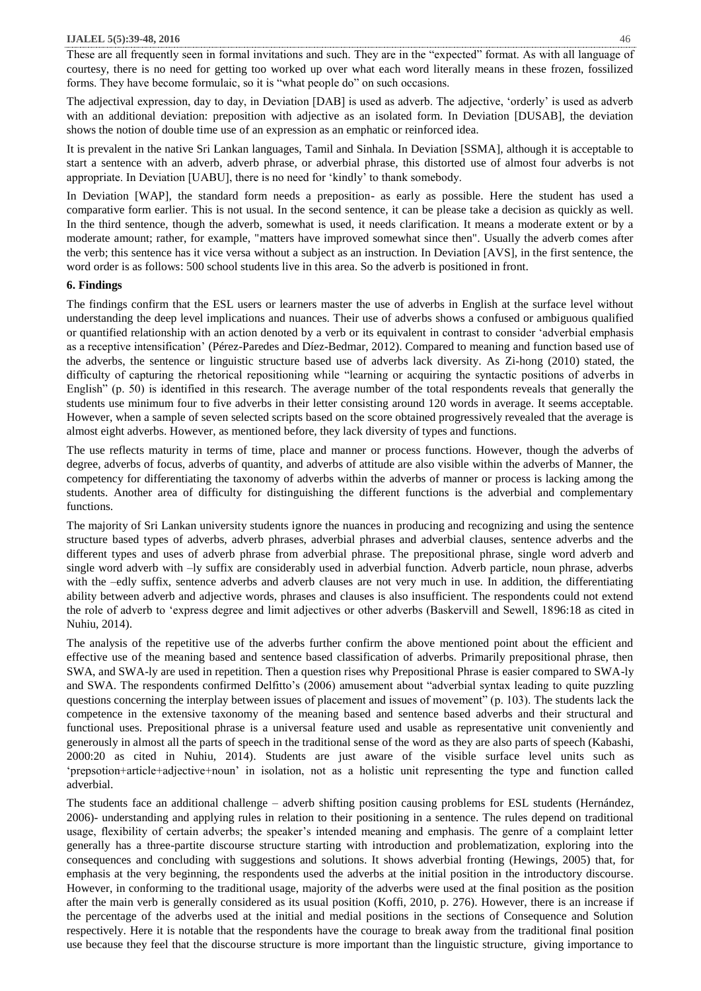#### **IJALEL 5(5):39-48, 2016** 46

These are all frequently seen in formal invitations and such. They are in the "expected" format. As with all language of courtesy, there is no need for getting too worked up over what each word literally means in these frozen, fossilized forms. They have become formulaic, so it is "what people do" on such occasions.

The adjectival expression, day to day, in Deviation [DAB] is used as adverb. The adjective, 'orderly' is used as adverb with an additional deviation: preposition with adjective as an isolated form. In Deviation [DUSAB], the deviation shows the notion of double time use of an expression as an emphatic or reinforced idea.

It is prevalent in the native Sri Lankan languages, Tamil and Sinhala. In Deviation [SSMA], although it is acceptable to start a sentence with an adverb, adverb phrase, or adverbial phrase, this distorted use of almost four adverbs is not appropriate. In Deviation [UABU], there is no need for 'kindly' to thank somebody.

In Deviation [WAP], the standard form needs a preposition- as early as possible. Here the student has used a comparative form earlier. This is not usual. In the second sentence, it can be please take a decision as quickly as well. In the third sentence, though the adverb, somewhat is used, it needs clarification. It means a moderate extent or by a moderate amount; rather, for example, "matters have improved somewhat since then". Usually the adverb comes after the verb; this sentence has it vice versa without a subject as an instruction. In Deviation [AVS], in the first sentence, the word order is as follows: 500 school students live in this area. So the adverb is positioned in front.

#### **6. Findings**

The findings confirm that the ESL users or learners master the use of adverbs in English at the surface level without understanding the deep level implications and nuances. Their use of adverbs shows a confused or ambiguous qualified or quantified relationship with an action denoted by a verb or its equivalent in contrast to consider 'adverbial emphasis as a receptive intensification' (Pérez-Paredes and Díez-Bedmar, 2012). Compared to meaning and function based use of the adverbs, the sentence or linguistic structure based use of adverbs lack diversity. As Zi-hong (2010) stated, the difficulty of capturing the rhetorical repositioning while "learning or acquiring the syntactic positions of adverbs in English" (p. 50) is identified in this research. The average number of the total respondents reveals that generally the students use minimum four to five adverbs in their letter consisting around 120 words in average. It seems acceptable. However, when a sample of seven selected scripts based on the score obtained progressively revealed that the average is almost eight adverbs. However, as mentioned before, they lack diversity of types and functions.

The use reflects maturity in terms of time, place and manner or process functions. However, though the adverbs of degree, adverbs of focus, adverbs of quantity, and adverbs of attitude are also visible within the adverbs of Manner, the competency for differentiating the taxonomy of adverbs within the adverbs of manner or process is lacking among the students. Another area of difficulty for distinguishing the different functions is the adverbial and complementary functions.

The majority of Sri Lankan university students ignore the nuances in producing and recognizing and using the sentence structure based types of adverbs, adverb phrases, adverbial phrases and adverbial clauses, sentence adverbs and the different types and uses of adverb phrase from adverbial phrase. The prepositional phrase, single word adverb and single word adverb with –ly suffix are considerably used in adverbial function. Adverb particle, noun phrase, adverbs with the –edly suffix, sentence adverbs and adverb clauses are not very much in use. In addition, the differentiating ability between adverb and adjective words, phrases and clauses is also insufficient. The respondents could not extend the role of adverb to 'express degree and limit adjectives or other adverbs (Baskervill and Sewell, 1896:18 as cited in Nuhiu, 2014).

The analysis of the repetitive use of the adverbs further confirm the above mentioned point about the efficient and effective use of the meaning based and sentence based classification of adverbs. Primarily prepositional phrase, then SWA, and SWA-ly are used in repetition. Then a question rises why Prepositional Phrase is easier compared to SWA-ly and SWA. The respondents confirmed Delfitto's (2006) amusement about "adverbial syntax leading to quite puzzling questions concerning the interplay between issues of placement and issues of movement" (p. 103). The students lack the competence in the extensive taxonomy of the meaning based and sentence based adverbs and their structural and functional uses. Prepositional phrase is a universal feature used and usable as representative unit conveniently and generously in almost all the parts of speech in the traditional sense of the word as they are also parts of speech (Kabashi, 2000:20 as cited in Nuhiu, 2014). Students are just aware of the visible surface level units such as 'prepsotion+article+adjective+noun' in isolation, not as a holistic unit representing the type and function called adverbial.

The students face an additional challenge – adverb shifting position causing problems for ESL students (Hernández, 2006)- understanding and applying rules in relation to their positioning in a sentence. The rules depend on traditional usage, flexibility of certain adverbs; the speaker's intended meaning and emphasis. The genre of a complaint letter generally has a three-partite discourse structure starting with introduction and problematization, exploring into the consequences and concluding with suggestions and solutions. It shows adverbial fronting (Hewings, 2005) that, for emphasis at the very beginning, the respondents used the adverbs at the initial position in the introductory discourse. However, in conforming to the traditional usage, majority of the adverbs were used at the final position as the position after the main verb is generally considered as its usual position (Koffi, 2010, p. 276). However, there is an increase if the percentage of the adverbs used at the initial and medial positions in the sections of Consequence and Solution respectively. Here it is notable that the respondents have the courage to break away from the traditional final position use because they feel that the discourse structure is more important than the linguistic structure, giving importance to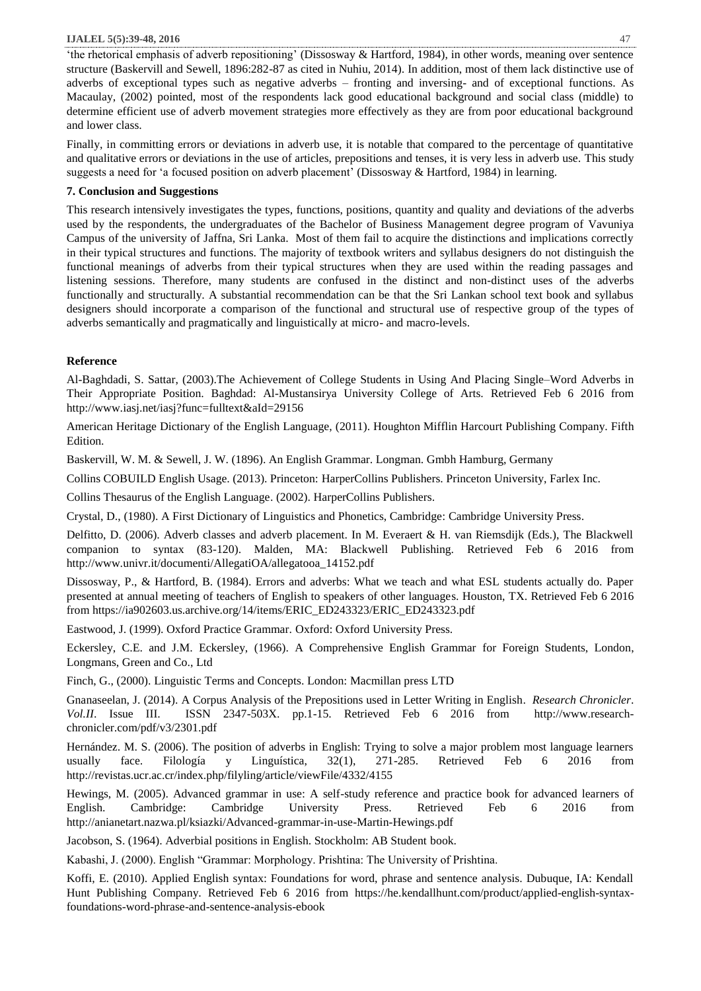'the rhetorical emphasis of adverb repositioning' (Dissosway & Hartford, 1984), in other words, meaning over sentence structure (Baskervill and Sewell, 1896:282-87 as cited in Nuhiu, 2014). In addition, most of them lack distinctive use of adverbs of exceptional types such as negative adverbs – fronting and inversing- and of exceptional functions. As Macaulay, (2002) pointed, most of the respondents lack good educational background and social class (middle) to determine efficient use of adverb movement strategies more effectively as they are from poor educational background and lower class.

Finally, in committing errors or deviations in adverb use, it is notable that compared to the percentage of quantitative and qualitative errors or deviations in the use of articles, prepositions and tenses, it is very less in adverb use. This study suggests a need for 'a focused position on adverb placement' (Dissosway & Hartford, 1984) in learning.

#### **7. Conclusion and Suggestions**

This research intensively investigates the types, functions, positions, quantity and quality and deviations of the adverbs used by the respondents, the undergraduates of the Bachelor of Business Management degree program of Vavuniya Campus of the university of Jaffna, Sri Lanka. Most of them fail to acquire the distinctions and implications correctly in their typical structures and functions. The majority of textbook writers and syllabus designers do not distinguish the functional meanings of adverbs from their typical structures when they are used within the reading passages and listening sessions. Therefore, many students are confused in the distinct and non-distinct uses of the adverbs functionally and structurally. A substantial recommendation can be that the Sri Lankan school text book and syllabus designers should incorporate a comparison of the functional and structural use of respective group of the types of adverbs semantically and pragmatically and linguistically at micro- and macro-levels.

## **Reference**

Al-Baghdadi, S. Sattar, (2003).The Achievement of College Students in Using And Placing Single–Word Adverbs in Their Appropriate Position. Baghdad: Al-Mustansirya University College of Arts. Retrieved Feb 6 2016 from http://www.iasj.net/iasj?func=fulltext&aId=29156

American Heritage Dictionary of the English Language, (2011). Houghton Mifflin Harcourt Publishing Company. Fifth Edition.

Baskervill, W. M. & Sewell, J. W. (1896). An English Grammar. Longman. Gmbh Hamburg, Germany

Collins COBUILD English Usage. (2013). Princeton: HarperCollins Publishers. Princeton University, Farlex Inc.

[Collins Thesaurus of the English Language.](http://www.thefreedictionary.com/_/misc/HarperCollinsProducts.aspx?EnglishThesaurus) (2002). HarperCollins Publishers.

Crystal, D., (1980). A First Dictionary of Linguistics and Phonetics, Cambridge: Cambridge University Press.

Delfitto, D. (2006). Adverb classes and adverb placement. In M. Everaert & H. van Riemsdijk (Eds.), The Blackwell companion to syntax (83-120). Malden, MA: Blackwell Publishing. Retrieved Feb 6 2016 from http://www.univr.it/documenti/AllegatiOA/allegatooa\_14152.pdf

Dissosway, P., & Hartford, B. (1984). Errors and adverbs: What we teach and what ESL students actually do. Paper presented at annual meeting of teachers of English to speakers of other languages. Houston, TX. Retrieved Feb 6 2016 fro[m https://ia902603.us.archive.org/14/items/ERIC\\_ED243323/ERIC\\_ED243323.pdf](https://ia902603.us.archive.org/14/items/ERIC_ED243323/ERIC_ED243323.pdf) 

Eastwood, J. (1999). Oxford Practice Grammar. Oxford: Oxford University Press.

Eckersley, C.E. and J.M. Eckersley, (1966). A Comprehensive English Grammar for Foreign Students, London, Longmans, Green and Co., Ltd

Finch, G., (2000). Linguistic Terms and Concepts. London: Macmillan press LTD

Gnanaseelan, J. (2014). A Corpus Analysis of the Prepositions used in Letter Writing in English. *Research Chronicler*. *Vol.II*. Issue III. ISSN 2347-503X. pp.1-15. Retrieved Feb 6 2016 from [http://www.research](http://www.research-chronicler.com/pdf/v3/2301.pdf)[chronicler.com/pdf/v3/2301.pdf](http://www.research-chronicler.com/pdf/v3/2301.pdf) 

Hernández. M. S. (2006). The position of adverbs in English: Trying to solve a major problem most language learners usually face. Filología y Linguística, 32(1), 271-285. Retrieved Feb 6 2016 from http://revistas.ucr.ac.cr/index.php/filyling/article/viewFile/4332/4155

Hewings, M. (2005). Advanced grammar in use: A self-study reference and practice book for advanced learners of English. Cambridge: Cambridge University Press. Retrieved Feb 6 2016 from http://anianetart.nazwa.pl/ksiazki/Advanced-grammar-in-use-Martin-Hewings.pdf

Jacobson, S. (1964). Adverbial positions in English. Stockholm: AB Student book.

Kabashi, J. (2000). English "Grammar: Morphology. Prishtina: The University of Prishtina.

Koffi, E. (2010). Applied English syntax: Foundations for word, phrase and sentence analysis. Dubuque, IA: Kendall Hunt Publishing Company. Retrieved Feb 6 2016 from https://he.kendallhunt.com/product/applied-english-syntaxfoundations-word-phrase-and-sentence-analysis-ebook